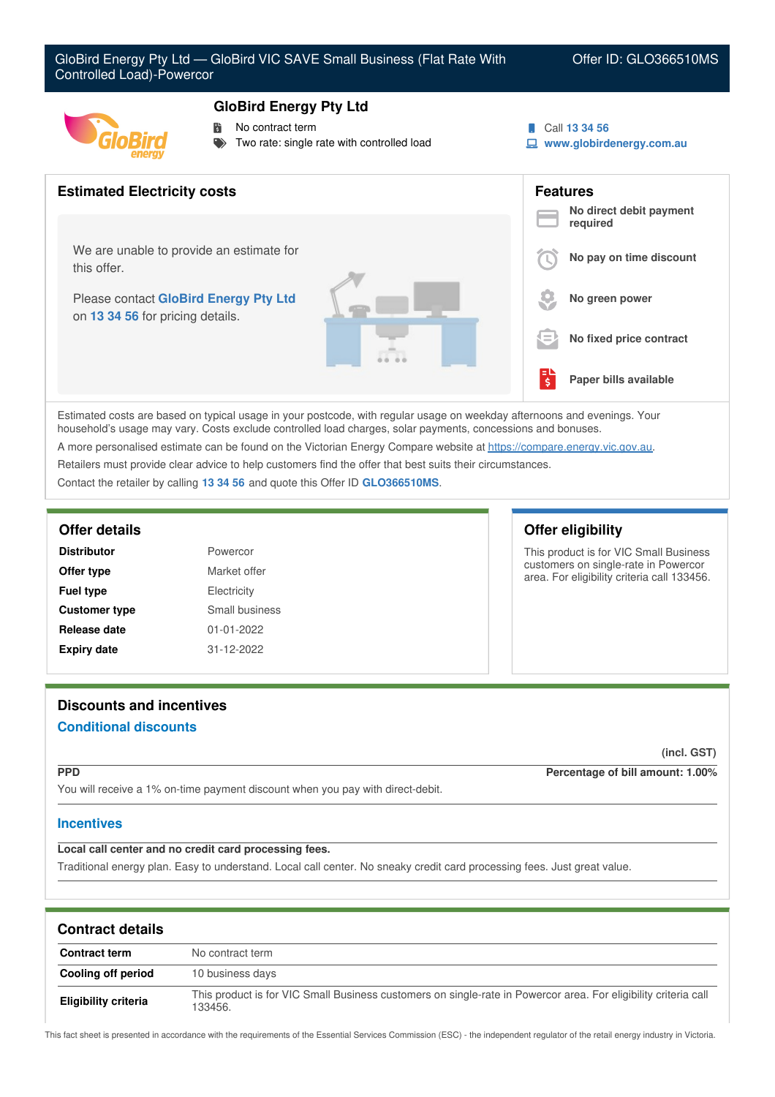## **GloBird Energy Pty Ltd**

- No contract term
- Two rate: single rate with controlled load

Call **13 34 56**

**www.globirdenergy.com.au**



Estimated costs are based on typical usage in your postcode, with regular usage on weekday afternoons and evenings. Your household's usage may vary. Costs exclude controlled load charges, solar payments, concessions and bonuses. A more personalised estimate can be found on the Victorian Energy Compare website at <https://compare.energy.vic.gov.au>.

Retailers must provide clear advice to help customers find the offer that best suits their circumstances.

Contact the retailer by calling **13 34 56** and quote this Offer ID **GLO366510MS**.

| <b>Distributor</b>   | Powercor       |
|----------------------|----------------|
| Offer type           | Market offer   |
| <b>Fuel type</b>     | Electricity    |
| <b>Customer type</b> | Small business |
| Release date         | 01-01-2022     |
| <b>Expiry date</b>   | 31-12-2022     |

### **Offer details Offer eligibility**

This product is for VIC Small Business customers on single-rate in Powercor area. For eligibility criteria call 133456.

# **Discounts and incentives**

# **Conditional discounts**

**(incl. GST)**

**PPD Percentage of bill amount: 1.00%**

You will receive a 1% on-time payment discount when you pay with direct-debit.

## **Incentives**

**Local call center and no credit card processing fees.**

Traditional energy plan. Easy to understand. Local call center. No sneaky credit card processing fees. Just great value.

| <b>Contract details</b>     |                                                                                                                            |
|-----------------------------|----------------------------------------------------------------------------------------------------------------------------|
| <b>Contract term</b>        | No contract term                                                                                                           |
| Cooling off period          | 10 business days                                                                                                           |
| <b>Eligibility criteria</b> | This product is for VIC Small Business customers on single-rate in Powercor area. For eligibility criteria call<br>133456. |

This fact sheet is presented in accordance with the requirements of the Essential Services Commission (ESC) - the independent regulator of the retail energy industry in Victoria.